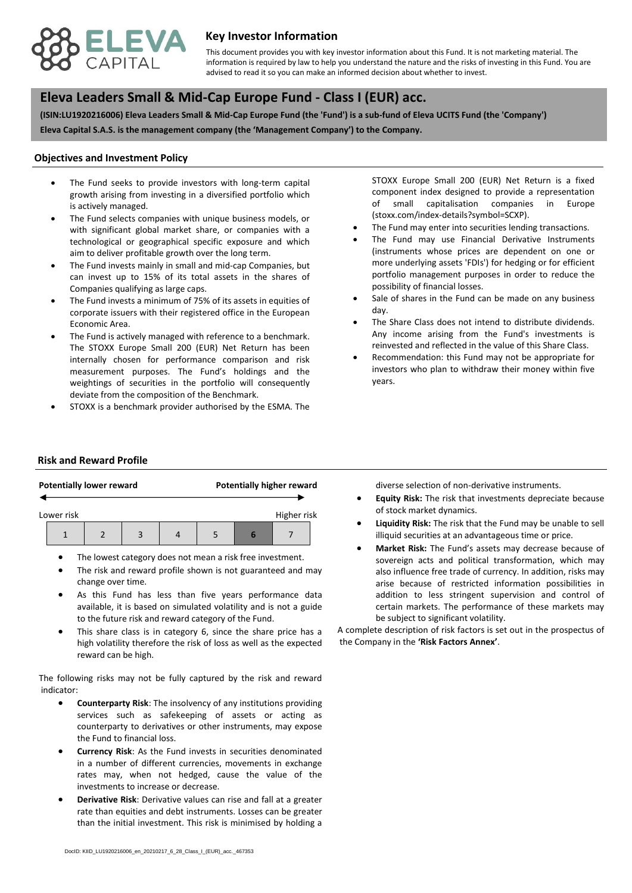

## **Key Investor Information**

advised to read it so you can make an informed decision about whether to invest. This document provides you with key investor information about this Fund. It is not marketing material. The information is required by law to help you understand the nature and the risks of investing in this Fund. You are

# **, Eleva Leaders Small & Mid-Cap Europe Fund - Class I (EUR) acc.**

**(ISIN:LU1920216006) Eleva Leaders Small & Mid-Cap Europe Fund (the 'Fund') is a sub-fund of Eleva UCITS Fund (the 'Company') Eleva Capital S.A.S. is the management company (the 'Management Company') to the Company.**

#### **Objectives and Investment Policy**

- is actively managed. The Fund seeks to provide investors with long-term capital growth arising from investing in a diversified portfolio which
- The Fund selects companies with unique business models, or with significant global market share, or companies with a technological or geographical specific exposure and which aim to deliver profitable growth over the long term.
- The Fund invests mainly in small and mid-cap Companies, but can invest up to 15% of its total assets in the shares of Companies qualifying as large caps.
- The Fund invests a minimum of 75% of its assets in equities of corporate issuers with their registered office in the European Economic Area.
- The Fund is actively managed with reference to a benchmark. The STOXX Europe Small 200 (EUR) Net Return has been internally chosen for performance comparison and risk measurement purposes. The Fund's holdings and the weightings of securities in the portfolio will consequently deviate from the composition of the Benchmark.
- STOXX is a benchmark provider authorised by the ESMA. The

STOXX Europe Small 200 (EUR) Net Return is a fixed component index designed to provide a representation of small capitalisation companies in Europe (stoxx.com/index-details?symbol=SCXP).

- The Fund may enter into securities lending transactions.
- The Fund may use Financial Derivative Instruments (instruments whose prices are dependent on one or more underlying assets 'FDIs') for hedging or for efficient portfolio management purposes in order to reduce the possibility of financial losses.
- Sale of shares in the Fund can be made on any business day.
- The Share Class does not intend to distribute dividends. Any income arising from the Fund's investments is reinvested and reflected in the value of this Share Class.
- Recommendation: this Fund may not be appropriate for investors who plan to withdraw their money within five years.

#### **Risk and Reward Profile**

|                           |  | <b>Potentially lower reward</b> |  | <b>Potentially higher reward</b> |  |  |  |  |
|---------------------------|--|---------------------------------|--|----------------------------------|--|--|--|--|
| Higher risk<br>Lower risk |  |                                 |  |                                  |  |  |  |  |
|                           |  |                                 |  |                                  |  |  |  |  |

- The lowest category does not mean a risk free investment.
- The risk and reward profile shown is not guaranteed and may change over time.
- As this Fund has less than five years performance data available, it is based on simulated volatility and is not a guide to the future risk and reward category of the Fund.
- This share class is in category 6, since the share price has a high volatility therefore the risk of loss as well as the expected reward can be high.

The following risks may not be fully captured by the risk and reward indicator:

- **Counterparty Risk**: The insolvency of any institutions providing services such as safekeeping of assets or acting as counterparty to derivatives or other instruments, may expose the Fund to financial loss.
- **Currency Risk**: As the Fund invests in securities denominated in a number of different currencies, movements in exchange rates may, when not hedged, cause the value of the investments to increase or decrease.
- **Derivative Risk**: Derivative values can rise and fall at a greater rate than equities and debt instruments. Losses can be greater than the initial investment. This risk is minimised by holding a

diverse selection of non-derivative instruments.

- **Equity Risk:** The risk that investments depreciate because of stock market dynamics.
- **Liquidity Risk:** The risk that the Fund may be unable to sell illiquid securities at an advantageous time or price.
- **Market Risk:** The Fund's assets may decrease because of sovereign acts and political transformation, which may also influence free trade of currency. In addition, risks may arise because of restricted information possibilities in addition to less stringent supervision and control of certain markets. The performance of these markets may be subject to significant volatility.

A complete description of risk factors is set out in the prospectus of the Company in the **'Risk Factors Annex'**.